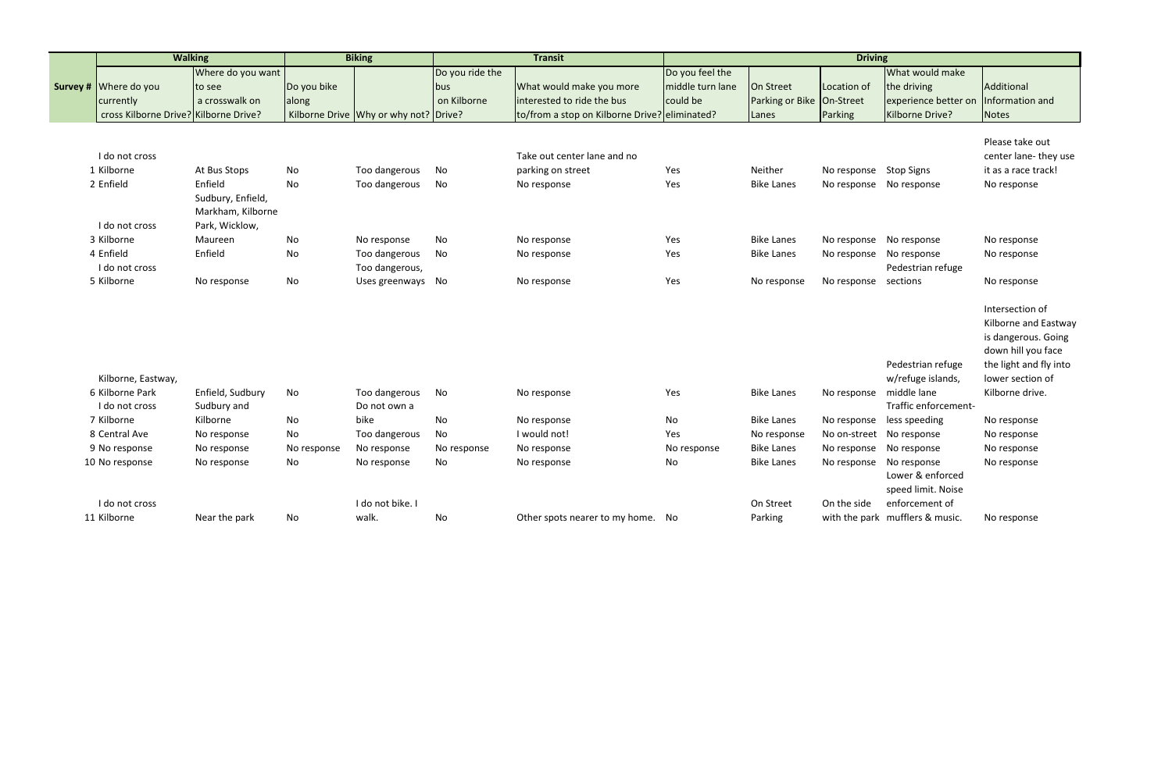|  | <b>Walking</b>                        |                   | <b>Biking</b> |                                       | <b>Transit</b>  |                                               | <b>Driving</b>   |                           |                          |                                 |                        |
|--|---------------------------------------|-------------------|---------------|---------------------------------------|-----------------|-----------------------------------------------|------------------|---------------------------|--------------------------|---------------------------------|------------------------|
|  |                                       | Where do you want |               |                                       | Do you ride the |                                               | Do you feel the  |                           |                          | What would make                 |                        |
|  | <b>Survey # Where do you</b>          | to see            | Do you bike   |                                       | bus             | What would make you more                      | middle turn lane | On Street                 | Location of              | the driving                     | Additional             |
|  | currently                             | a crosswalk on    | along         |                                       | on Kilborne     | interested to ride the bus                    | could be         | Parking or Bike On-Street |                          | experience better on            | Information and        |
|  | cross Kilborne Drive? Kilborne Drive? |                   |               | Kilborne Drive Why or why not? Drive? |                 | to/from a stop on Kilborne Drive? eliminated? |                  | Lanes                     | Parking                  | <b>Kilborne Drive?</b>          | <b>Notes</b>           |
|  |                                       |                   |               |                                       |                 |                                               |                  |                           |                          |                                 |                        |
|  |                                       |                   |               |                                       |                 |                                               |                  |                           |                          |                                 | Please take out        |
|  | I do not cross                        |                   |               |                                       |                 | Take out center lane and no                   |                  |                           |                          |                                 | center lane-they use   |
|  | 1 Kilborne                            | At Bus Stops      | No            | Too dangerous                         | No              | parking on street                             | Yes              | Neither                   | No response              | <b>Stop Signs</b>               | it as a race track!    |
|  | 2 Enfield                             | Enfield           | No            | Too dangerous                         | No              | No response                                   | Yes              | <b>Bike Lanes</b>         | No response              | No response                     | No response            |
|  |                                       | Sudbury, Enfield, |               |                                       |                 |                                               |                  |                           |                          |                                 |                        |
|  |                                       | Markham, Kilborne |               |                                       |                 |                                               |                  |                           |                          |                                 |                        |
|  | I do not cross                        | Park, Wicklow,    |               |                                       |                 |                                               |                  |                           |                          |                                 |                        |
|  | 3 Kilborne                            | Maureen           | No            | No response                           | No              | No response                                   | Yes              | <b>Bike Lanes</b>         | No response              | No response                     | No response            |
|  | 4 Enfield                             | Enfield           | No            | Too dangerous                         | No              | No response                                   | Yes              | <b>Bike Lanes</b>         | No response              | No response                     | No response            |
|  | I do not cross                        |                   |               | Too dangerous,                        |                 |                                               |                  |                           |                          | Pedestrian refuge               |                        |
|  | 5 Kilborne                            | No response       | No            | Uses greenways No                     |                 | No response                                   | Yes              | No response               | No response              | sections                        | No response            |
|  |                                       |                   |               |                                       |                 |                                               |                  |                           |                          |                                 | Intersection of        |
|  |                                       |                   |               |                                       |                 |                                               |                  |                           |                          |                                 | Kilborne and Eastway   |
|  |                                       |                   |               |                                       |                 |                                               |                  |                           |                          |                                 | is dangerous. Going    |
|  |                                       |                   |               |                                       |                 |                                               |                  |                           |                          |                                 | down hill you face     |
|  |                                       |                   |               |                                       |                 |                                               |                  |                           |                          | Pedestrian refuge               | the light and fly into |
|  | Kilborne, Eastway,                    |                   |               |                                       |                 |                                               |                  |                           |                          | w/refuge islands,               | lower section of       |
|  | 6 Kilborne Park                       | Enfield, Sudbury  | No            | Too dangerous                         | No              | No response                                   | Yes              | <b>Bike Lanes</b>         | No response              | middle lane                     | Kilborne drive.        |
|  | I do not cross                        | Sudbury and       |               | Do not own a                          |                 |                                               |                  |                           |                          | Traffic enforcement-            |                        |
|  | 7 Kilborne                            | Kilborne          | No            | bike                                  | No              | No response                                   | No               | <b>Bike Lanes</b>         | No response              | less speeding                   | No response            |
|  | 8 Central Ave                         | No response       | No            | Too dangerous                         | No              | I would not!                                  | Yes              | No response               | No on-street No response |                                 | No response            |
|  | 9 No response                         | No response       | No response   | No response                           | No response     | No response                                   | No response      | <b>Bike Lanes</b>         | No response              | No response                     | No response            |
|  | 10 No response                        | No response       | No            | No response                           | No              | No response                                   | No               | <b>Bike Lanes</b>         | No response              | No response                     | No response            |
|  |                                       |                   |               |                                       |                 |                                               |                  |                           |                          | Lower & enforced                |                        |
|  |                                       |                   |               |                                       |                 |                                               |                  |                           |                          | speed limit. Noise              |                        |
|  | I do not cross                        |                   |               | I do not bike. I                      |                 |                                               |                  | On Street                 | On the side              | enforcement of                  |                        |
|  | 11 Kilborne                           | Near the park     | No            | walk.                                 | No              | Other spots nearer to my home. No             |                  | Parking                   |                          | with the park mufflers & music. | No response            |
|  |                                       |                   |               |                                       |                 |                                               |                  |                           |                          |                                 |                        |
|  |                                       |                   |               |                                       |                 |                                               |                  |                           |                          |                                 |                        |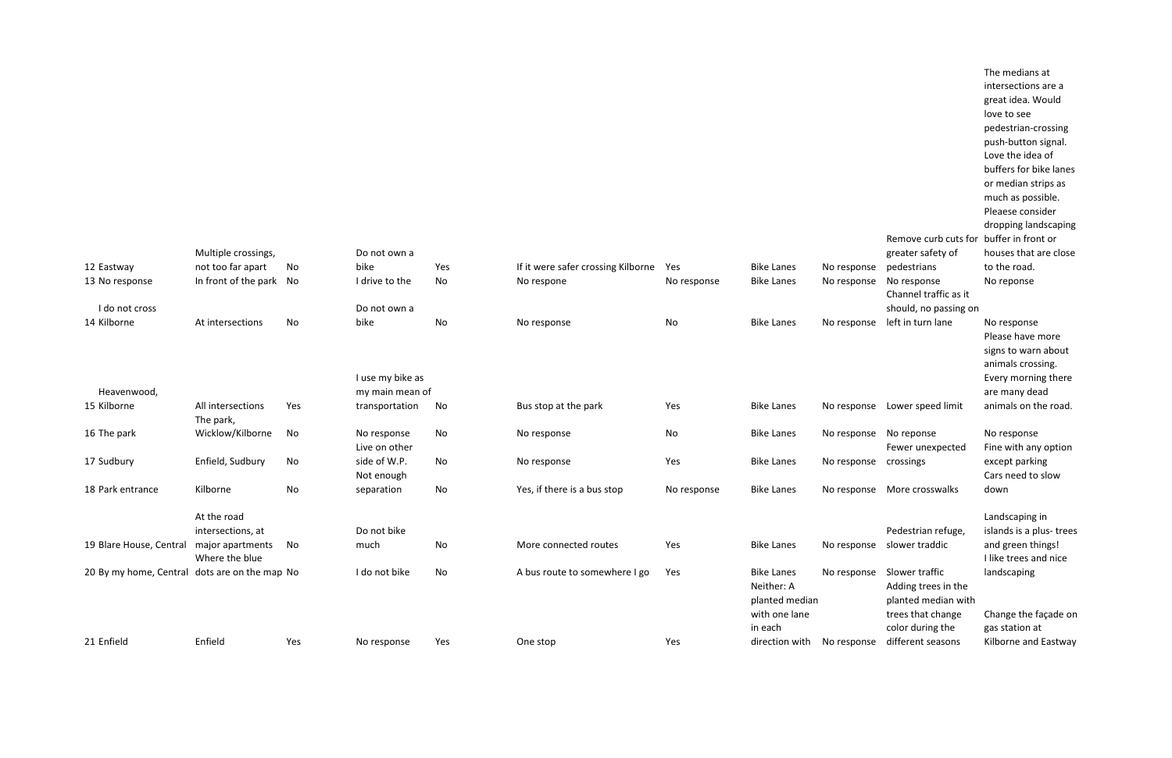|                                               |                                    |     |                                |     |                                        |             |                                                                               |             | Remove curb cuts for buffer in front or                                                               | The medians at<br>intersections are a<br>great idea. Would<br>love to see<br>pedestrian-crossing<br>push-button signal.<br>Love the idea of<br>buffers for bike lanes<br>or median strips as<br>much as possible.<br>Pleaese consider<br>dropping landscaping |
|-----------------------------------------------|------------------------------------|-----|--------------------------------|-----|----------------------------------------|-------------|-------------------------------------------------------------------------------|-------------|-------------------------------------------------------------------------------------------------------|---------------------------------------------------------------------------------------------------------------------------------------------------------------------------------------------------------------------------------------------------------------|
|                                               | Multiple crossings,                |     | Do not own a                   |     |                                        |             |                                                                               |             | greater safety of                                                                                     | houses that are close                                                                                                                                                                                                                                         |
| 12 Eastway                                    | not too far apart                  | No  | bike                           | Yes | If it were safer crossing Kilborne Yes |             | <b>Bike Lanes</b>                                                             | No response | pedestrians                                                                                           | to the road.                                                                                                                                                                                                                                                  |
| 13 No response<br>I do not cross              | In front of the park No            |     | I drive to the<br>Do not own a | No  | No respone                             | No response | <b>Bike Lanes</b>                                                             | No response | No response<br>Channel traffic as it<br>should, no passing on                                         | No reponse                                                                                                                                                                                                                                                    |
| 14 Kilborne                                   | At intersections                   | No  | bike                           | No  | No response                            | No          | <b>Bike Lanes</b>                                                             | No response | left in turn lane                                                                                     | No response<br>Please have more<br>signs to warn about<br>animals crossing.                                                                                                                                                                                   |
|                                               |                                    |     | I use my bike as               |     |                                        |             |                                                                               |             |                                                                                                       | Every morning there                                                                                                                                                                                                                                           |
| Heavenwood,                                   |                                    |     | my main mean of                |     |                                        |             |                                                                               |             |                                                                                                       | are many dead                                                                                                                                                                                                                                                 |
| 15 Kilborne                                   | All intersections<br>The park,     | Yes | transportation                 | No  | Bus stop at the park                   | Yes         | <b>Bike Lanes</b>                                                             |             | No response Lower speed limit                                                                         | animals on the road.                                                                                                                                                                                                                                          |
| 16 The park                                   | Wicklow/Kilborne                   | No  | No response<br>Live on other   | No  | No response                            | No          | <b>Bike Lanes</b>                                                             | No response | No reponse<br>Fewer unexpected                                                                        | No response<br>Fine with any option                                                                                                                                                                                                                           |
| 17 Sudbury                                    | Enfield, Sudbury                   | No  | side of W.P.<br>Not enough     | No  | No response                            | Yes         | <b>Bike Lanes</b>                                                             | No response | crossings                                                                                             | except parking<br>Cars need to slow                                                                                                                                                                                                                           |
| 18 Park entrance                              | Kilborne                           | No  | separation                     | No  | Yes, if there is a bus stop            | No response | <b>Bike Lanes</b>                                                             |             | No response More crosswalks                                                                           | down                                                                                                                                                                                                                                                          |
|                                               | At the road<br>intersections, at   |     | Do not bike                    |     |                                        |             |                                                                               |             | Pedestrian refuge,                                                                                    | Landscaping in<br>islands is a plus-trees                                                                                                                                                                                                                     |
| 19 Blare House, Central                       | major apartments<br>Where the blue | No  | much                           | No  | More connected routes                  | Yes         | <b>Bike Lanes</b>                                                             | No response | slower traddic                                                                                        | and green things!<br>I like trees and nice                                                                                                                                                                                                                    |
| 20 By my home, Central dots are on the map No |                                    |     | I do not bike                  | No  | A bus route to somewhere I go          | Yes         | <b>Bike Lanes</b><br>Neither: A<br>planted median<br>with one lane<br>in each | No response | Slower traffic<br>Adding trees in the<br>planted median with<br>trees that change<br>color during the | landscaping<br>Change the façade on<br>gas station at                                                                                                                                                                                                         |
| 21 Enfield                                    | Enfield                            | Yes | No response                    | Yes | One stop                               | Yes         | direction with                                                                | No response | different seasons                                                                                     | Kilborne and Eastway                                                                                                                                                                                                                                          |